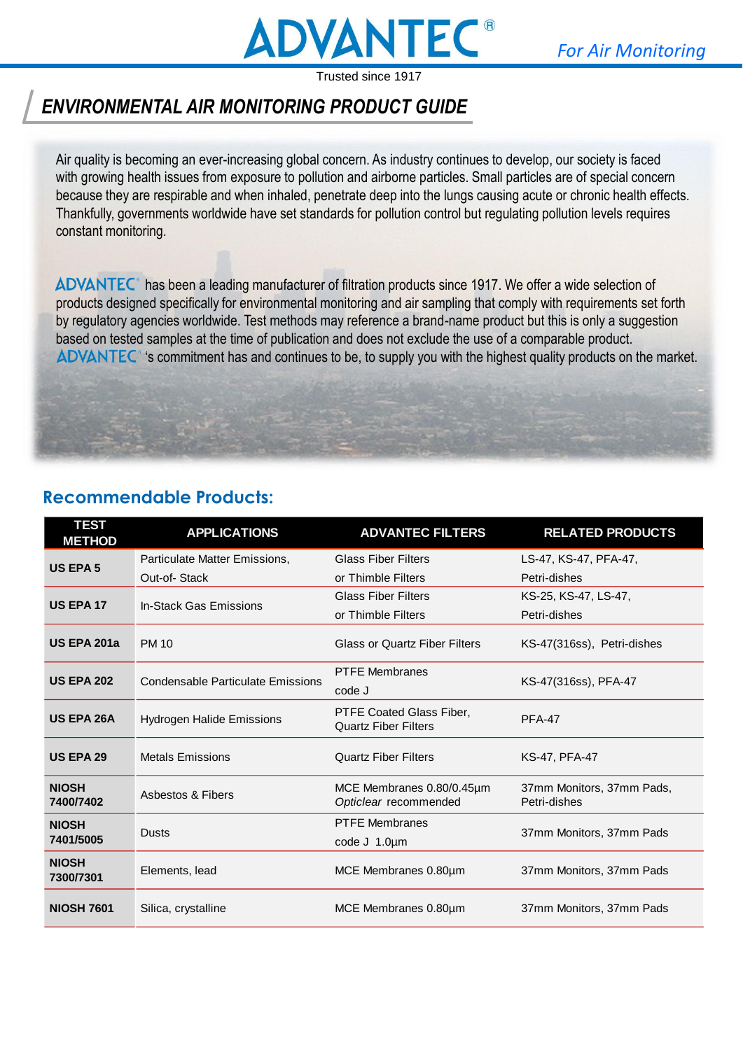

## *ENVIRONMENTAL AIR MONITORING PRODUCT GUIDE*

Air quality is becoming an ever-increasing global concern. As industry continues to develop, our society is faced with growing health issues from exposure to pollution and airborne particles. Small particles are of special concern because they are respirable and when inhaled, penetrate deep into the lungs causing acute or chronic health effects. Thankfully, governments worldwide have set standards for pollution control but regulating pollution levels requires constant monitoring.

ADVANTEC<sup>®</sup> has been a leading manufacturer of filtration products since 1917. We offer a wide selection of products designed specifically for environmental monitoring and air sampling that comply with requirements set forth by regulatory agencies worldwide. Test methods may reference a brand-name product but this is only a suggestion based on tested samples at the time of publication and does not exclude the use of a comparable product. 's commitment has and continues to be, to supply you with the highest quality products on the market.

### **Recommendable Products:**

| <b>TEST</b><br><b>METHOD</b> | <b>APPLICATIONS</b>                      | <b>ADVANTEC FILTERS</b>                                 | <b>RELATED PRODUCTS</b>                   |
|------------------------------|------------------------------------------|---------------------------------------------------------|-------------------------------------------|
| <b>US EPA 5</b>              | Particulate Matter Emissions,            | <b>Glass Fiber Filters</b>                              | LS-47, KS-47, PFA-47,                     |
|                              | Out-of-Stack                             | or Thimble Filters                                      | Petri-dishes                              |
| <b>US EPA 17</b>             | In-Stack Gas Emissions                   | <b>Glass Fiber Filters</b>                              | KS-25, KS-47, LS-47,                      |
|                              |                                          | or Thimble Filters                                      | Petri-dishes                              |
| <b>US EPA 201a</b>           | <b>PM 10</b>                             | <b>Glass or Quartz Fiber Filters</b>                    | KS-47(316ss), Petri-dishes                |
| <b>US EPA 202</b>            | <b>Condensable Particulate Emissions</b> | <b>PTFE Membranes</b>                                   |                                           |
|                              |                                          | code J                                                  | KS-47(316ss), PFA-47                      |
| US EPA 26A                   | Hydrogen Halide Emissions                | PTFE Coated Glass Fiber,<br><b>Quartz Fiber Filters</b> | <b>PFA-47</b>                             |
| <b>US EPA 29</b>             | <b>Metals Emissions</b>                  | <b>Quartz Fiber Filters</b>                             | <b>KS-47, PFA-47</b>                      |
| <b>NIOSH</b><br>7400/7402    | Asbestos & Fibers                        | MCE Membranes 0.80/0.45µm<br>Opticlear recommended      | 37mm Monitors, 37mm Pads,<br>Petri-dishes |
| <b>NIOSH</b>                 | <b>Dusts</b>                             | <b>PTFE Membranes</b>                                   | 37mm Monitors, 37mm Pads                  |
| 7401/5005                    |                                          | code $J$ 1.0 $\mu$ m                                    |                                           |
| <b>NIOSH</b><br>7300/7301    | Elements, lead                           | MCE Membranes 0.80um                                    | 37mm Monitors, 37mm Pads                  |
| <b>NIOSH 7601</b>            | Silica, crystalline                      | MCE Membranes 0.80um                                    | 37mm Monitors, 37mm Pads                  |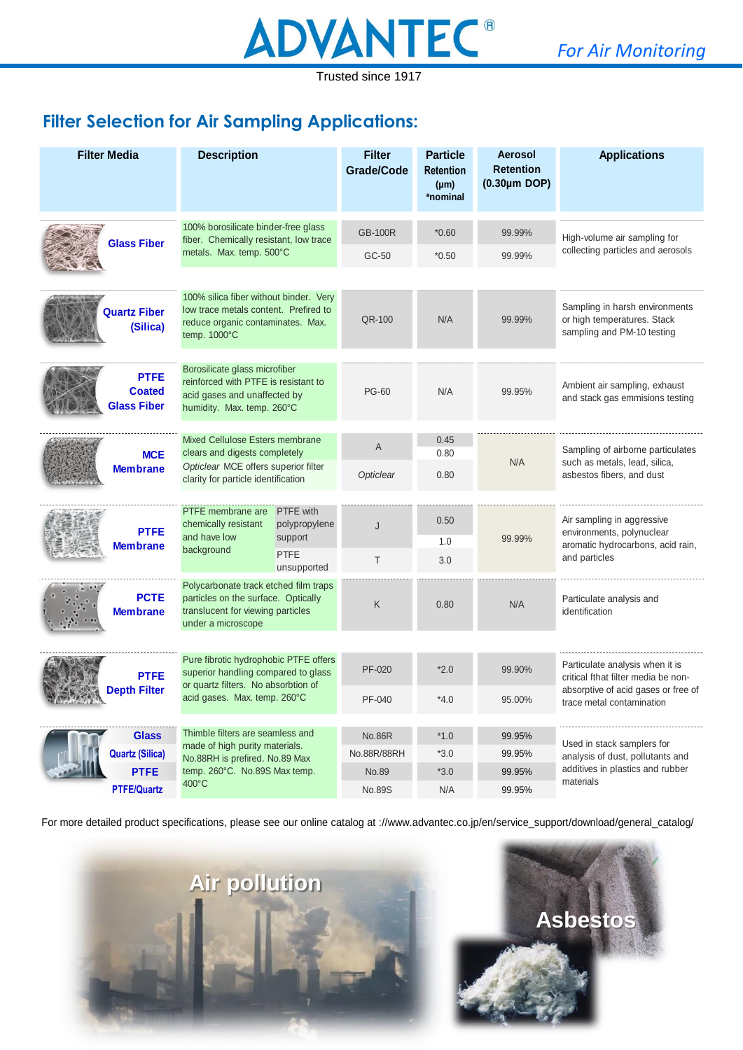

**Filter Selection for Air Sampling Applications:**

| <b>Filter Media</b>                                | <b>Description</b>                                                                                                                             |                            | <b>Filter</b><br><b>Grade/Code</b> | <b>Particle</b><br><b>Retention</b><br>$(\mu m)$<br>*nominal | Aerosol<br><b>Retention</b><br>$(0.30 \mu m$ DOP) | <b>Applications</b>                                                                         |  |
|----------------------------------------------------|------------------------------------------------------------------------------------------------------------------------------------------------|----------------------------|------------------------------------|--------------------------------------------------------------|---------------------------------------------------|---------------------------------------------------------------------------------------------|--|
|                                                    | 100% borosilicate binder-free glass<br>fiber. Chemically resistant, low trace                                                                  |                            | <b>GB-100R</b>                     | $*0.60$                                                      | 99.99%                                            | High-volume air sampling for                                                                |  |
| <b>Glass Fiber</b>                                 | metals. Max. temp. 500°C                                                                                                                       |                            | GC-50                              | $*0.50$                                                      | 99.99%                                            | collecting particles and aerosols                                                           |  |
| <b>Quartz Fiber</b><br>(Silica)                    | 100% silica fiber without binder. Very<br>low trace metals content. Prefired to<br>reduce organic contaminates. Max.<br>temp. $1000^{\circ}$ C |                            | QR-100                             | N/A                                                          | 99.99%                                            | Sampling in harsh environments<br>or high temperatures. Stack<br>sampling and PM-10 testing |  |
| <b>PTFE</b><br><b>Coated</b><br><b>Glass Fiber</b> | Borosilicate glass microfiber<br>reinforced with PTFE is resistant to<br>acid gases and unaffected by<br>humidity. Max. temp. 260°C            |                            | <b>PG-60</b>                       | N/A                                                          | 99.95%                                            | Ambient air sampling, exhaust<br>and stack gas emmisions testing                            |  |
|                                                    | Mixed Cellulose Esters membrane<br>clears and digests completely                                                                               |                            | A                                  | 0.45<br>0.80                                                 |                                                   | Sampling of airborne particulates                                                           |  |
| <b>MCE</b><br><b>Membrane</b>                      | Opticlear MCE offers superior filter<br>clarity for particle identification                                                                    |                            | Opticlear                          | 0.80                                                         | N/A                                               | such as metals, lead, silica,<br>asbestos fibers, and dust                                  |  |
|                                                    | PTFE membrane are                                                                                                                              | <b>PTFE</b> with           |                                    |                                                              |                                                   |                                                                                             |  |
| <b>PTFE</b>                                        | chemically resistant<br>and have low                                                                                                           | polypropylene<br>support   | J                                  | 0.50                                                         | 99.99%                                            | Air sampling in aggressive<br>environments, polynuclear                                     |  |
| <b>Membrane</b>                                    | background                                                                                                                                     | <b>PTFE</b><br>unsupported | T.                                 | 1.0<br>3.0                                                   |                                                   | aromatic hydrocarbons, acid rain,<br>and particles                                          |  |
| <b>PCTE</b><br><b>Membrane</b>                     | Polycarbonate track etched film traps<br>particles on the surface. Optically<br>translucent for viewing particles<br>under a microscope        |                            | Κ                                  | 0.80                                                         | N/A                                               | Particulate analysis and<br>identification                                                  |  |
|                                                    |                                                                                                                                                |                            |                                    |                                                              |                                                   |                                                                                             |  |
| <b>PTFE</b>                                        | Pure fibrotic hydrophobic PTFE offers<br>superior handling compared to glass<br>or quartz filters. No absorbtion of                            |                            | PF-020                             | $*2.0$                                                       | 99.90%                                            | Particulate analysis when it is<br>critical fthat filter media be non-                      |  |
| <b>Depth Filter</b><br>A PARAGE                    | acid gases. Max. temp. 260°C                                                                                                                   |                            | PF-040                             | 4.0                                                          | 95.00%                                            | absorptive of acid gases or free of<br>trace metal contamination                            |  |
| <b>Glass</b>                                       | Thimble filters are seamless and                                                                                                               |                            | <b>No.86R</b>                      | $*1.0$                                                       | 99.95%                                            |                                                                                             |  |
| <b>Quartz (Silica)</b>                             | made of high purity materials.<br>No.88RH is prefired. No.89 Max                                                                               |                            | No.88R/88RH                        | $*3.0$                                                       | 99.95%                                            | Used in stack samplers for<br>analysis of dust, pollutants and                              |  |
| <b>PTFE</b>                                        | temp. 260°C. No.89S Max temp.                                                                                                                  |                            | No.89                              | $*3.0$                                                       | 99.95%                                            | additives in plastics and rubber                                                            |  |
| <b>PTFE/Quartz</b>                                 | 400°C                                                                                                                                          |                            | No.89S                             | N/A                                                          | 99.95%                                            | materials                                                                                   |  |

For more detailed product specifications, please see our online catalog at ://www.advantec.co.jp/en/service\_support/download/general\_catalog/



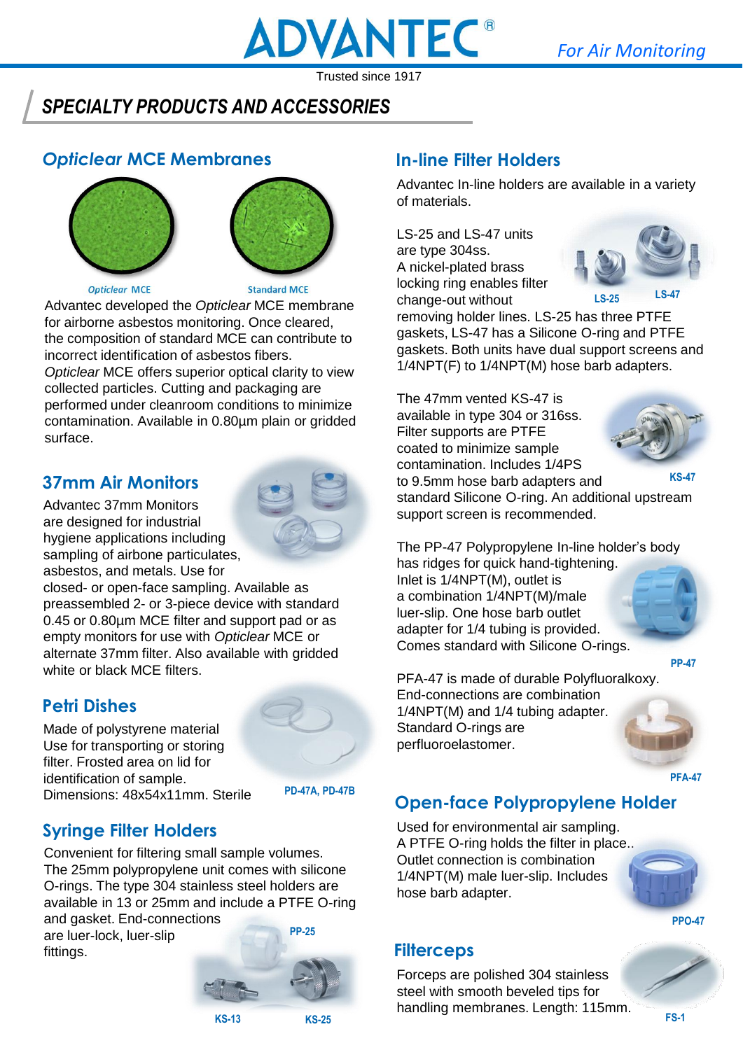

### *SPECIALTY PRODUCTS AND ACCESSORIES*

### *Opticlear* **MCE Membranes**





#### **Opticlear MCE**

**Standard MCE** 

Advantec developed the *Opticlear* MCE membrane for airborne asbestos monitoring. Once cleared, the composition of standard MCE can contribute to incorrect identification of asbestos fibers.

*Opticlear* MCE offers superior optical clarity to view collected particles. Cutting and packaging are performed under cleanroom conditions to minimize contamination. Available in 0.80µm plain or gridded surface.

#### **37mm Air Monitors**

Advantec 37mm Monitors are designed for industrial hygiene applications including sampling of airbone particulates, asbestos, and metals. Use for



closed- or open-face sampling. Available as preassembled 2- or 3-piece device with standard 0.45 or 0.80µm MCE filter and support pad or as empty monitors for use with *Opticlear* MCE or alternate 37mm filter. Also available with gridded white or black MCE filters.

#### **Petri Dishes**

Made of polystyrene material Use for transporting or storing filter. Frosted area on lid for identification of sample. Dimensions: 48x54x11mm. Sterile



**PD-47A, PD-47B**

### **Syringe Filter Holders**

Convenient for filtering small sample volumes. The 25mm polypropylene unit comes with silicone O-rings. The type 304 stainless steel holders are available in 13 or 25mm and include a PTFE O-ring

and gasket. End-connections are luer-lock, luer-slip fittings.



### **In-line Filter Holders**

Advantec In-line holders are available in a variety of materials.

LS-25 and LS-47 units are type 304ss. A nickel-plated brass locking ring enables filter change-out without



removing holder lines. LS-25 has three PTFE gaskets, LS-47 has a Silicone O-ring and PTFE gaskets. Both units have dual support screens and 1/4NPT(F) to 1/4NPT(M) hose barb adapters.

The 47mm vented KS-47 is available in type 304 or 316ss. Filter supports are PTFE coated to minimize sample contamination. Includes 1/4PS to 9.5mm hose barb adapters and standard Silicone O-ring. An additional upstream support screen is recommended. **KS-47**



The PP-47 Polypropylene In-line holder's body has ridges for quick hand-tightening. Inlet is 1/4NPT(M), outlet is a combination 1/4NPT(M)/male luer-slip. One hose barb outlet adapter for 1/4 tubing is provided. Comes standard with Silicone O-rings.

**PP-47**

PFA-47 is made of durable Polyfluoralkoxy. End-connections are combination 1/4NPT(M) and 1/4 tubing adapter. Standard O-rings are perfluoroelastomer.

**PFA-47**

### **Open-face Polypropylene Holder**

Used for environmental air sampling. A PTFE O-ring holds the filter in place.. Outlet connection is combination 1/4NPT(M) male luer-slip. Includes hose barb adapter.



**PPO-47**

### **Filterceps**

Forceps are polished 304 stainless steel with smooth beveled tips for handling membranes. Length: 115mm.

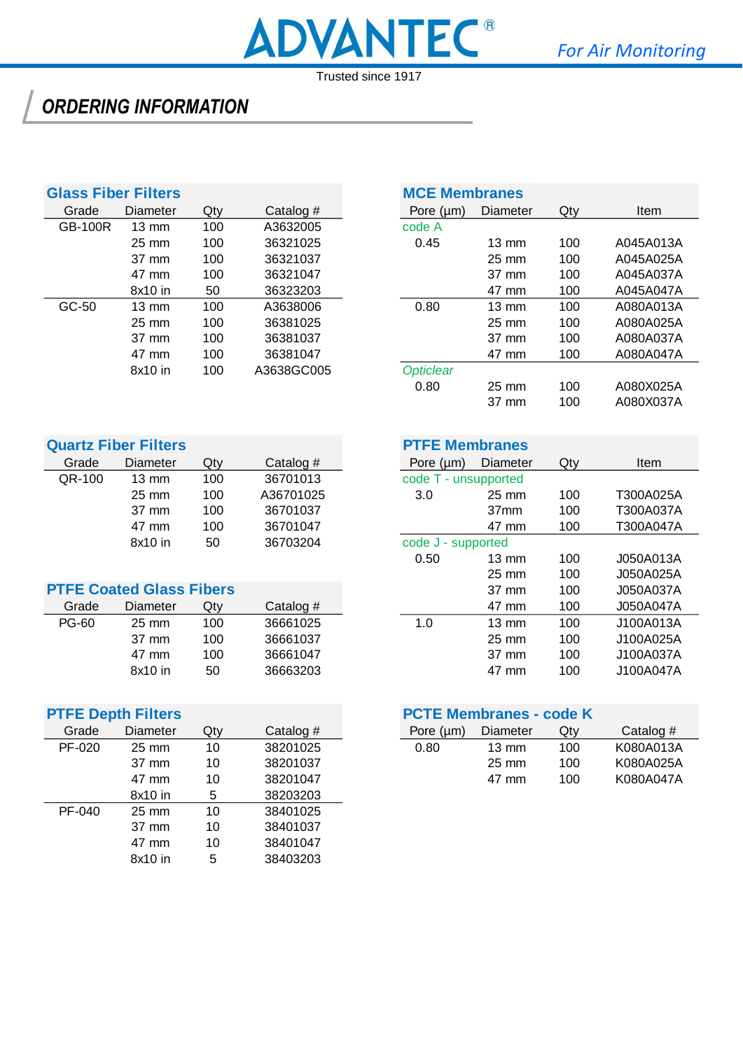## *ORDERING INFORMATION*

| <b>Glass Fiber Filters</b> |                 |     |             | <b>MCE Membranes</b> |                 |                      |        |
|----------------------------|-----------------|-----|-------------|----------------------|-----------------|----------------------|--------|
| Grade                      | Diameter        | Qty | Catalog $#$ | Pore $(\mu m)$       | <b>Diameter</b> | Qty                  | Item   |
| <b>GB-100R</b>             | $13 \text{ mm}$ | 100 | A3632005    | code A               |                 |                      |        |
|                            | $25 \text{ mm}$ | 100 | 36321025    | 0.45                 | $13 \text{ mm}$ | 100                  | A045A0 |
|                            | 37 mm           | 100 | 36321037    |                      | $25 \text{ mm}$ | 100                  | A045A0 |
|                            | 47 mm           | 100 | 36321047    |                      | 37 mm           | 100                  | A045A0 |
|                            | 8x10 in         | 50  | 36323203    |                      | 47 mm           | 100                  | A045A0 |
| GC-50                      | $13 \text{ mm}$ | 100 | A3638006    | 0.80                 | $13 \text{ mm}$ | 100                  | A080A0 |
|                            | $25 \text{ mm}$ | 100 | 36381025    |                      | 25 mm           | 100                  | A080A0 |
|                            | 37 mm           | 100 | 36381037    |                      | 37 mm           | 100                  | A080A0 |
|                            | 47 mm           | 100 | 36381047    |                      | 47 mm           | 100                  | A080A0 |
|                            | 8x10 in         | 100 | A3638GC005  | <b>Opticlear</b>     |                 |                      |        |
|                            |                 |     |             |                      |                 | $\sim$ $\sim$ $\sim$ |        |

|         | lass Fiber Filters |     |             | <b>MCE Membranes</b> |                 |     |             |  |
|---------|--------------------|-----|-------------|----------------------|-----------------|-----|-------------|--|
| Grade   | Diameter           | Qty | Catalog $#$ | Pore $(\mu m)$       | <b>Diameter</b> | Qty | <b>Item</b> |  |
| GB-100R | $13 \text{ mm}$    | 100 | A3632005    | code A               |                 |     |             |  |
|         | $25 \text{ mm}$    | 100 | 36321025    | 0.45                 | $13 \text{ mm}$ | 100 | A045A013A   |  |
|         | 37 mm              | 100 | 36321037    |                      | $25 \text{ mm}$ | 100 | A045A025A   |  |
|         | 47 mm              | 100 | 36321047    |                      | 37 mm           | 100 | A045A037A   |  |
|         | 8x10 in            | 50  | 36323203    |                      | 47 mm           | 100 | A045A047A   |  |
| GC-50   | $13 \text{ mm}$    | 100 | A3638006    | 0.80                 | $13 \text{ mm}$ | 100 | A080A013A   |  |
|         | $25 \text{ mm}$    | 100 | 36381025    |                      | $25 \text{ mm}$ | 100 | A080A025A   |  |
|         | 37 mm              | 100 | 36381037    |                      | 37 mm           | 100 | A080A037A   |  |
|         | 47 mm              | 100 | 36381047    |                      | 47 mm           | 100 | A080A047A   |  |
|         | 8x10 in            | 100 | A3638GC005  | <b>Opticlear</b>     |                 |     |             |  |
|         |                    |     |             | 0.80                 | 25 mm           | 100 | A080X025A   |  |
|         |                    |     |             |                      | 37 mm           | 100 | A080X037A   |  |
|         |                    |     |             |                      |                 |     |             |  |

|        | <b>Quartz Fiber Filters</b> |     |             | <b>PTFE Membranes</b> |                  |     |        |
|--------|-----------------------------|-----|-------------|-----------------------|------------------|-----|--------|
| Grade  | Diameter                    | Qtv | Catalog $#$ | Pore $(\mu m)$        | Diameter         | Qty | Item   |
| QR-100 | $13 \text{ mm}$             | 100 | 36701013    | code T - unsupported  |                  |     |        |
|        | $25 \text{ mm}$             | 100 | A36701025   | 3.0                   | $25 \text{ mm}$  | 100 | T300A0 |
|        | 37 mm                       | 100 | 36701037    |                       | 37 <sub>mm</sub> | 100 | T300A0 |
|        | 47 mm                       | 100 | 36701047    |                       | 47 mm            | 100 | T300A0 |
|        | 8x10 in                     | 50  | 36703204    | code J - supported    |                  |     |        |

|              | <b>PTFE Coated Glass Fibers</b> |     |           |     | 37 mm           | 100 | J050A037A |
|--------------|---------------------------------|-----|-----------|-----|-----------------|-----|-----------|
| Grade        | Diameter                        | Qtv | Catalog # |     | 47 mm           | 100 | J050A047A |
| <b>PG-60</b> | $25 \text{ mm}$                 | 100 | 36661025  | 1.0 | $13 \text{ mm}$ | 100 | J100A013A |
|              | 37 mm                           | 100 | 36661037  |     | $25 \text{ mm}$ | 100 | J100A025A |
|              | 47 mm                           | 100 | 36661047  |     | 37 mm           | 100 | J100A037A |
|              | 8x10 in                         | 50  | 36663203  |     | 47 mm           | 100 | J100A047A |

|        | <b>PTFE Depth Filters</b> |        |             | <b>PCTE Membranes - code K</b> |                 |     |  |
|--------|---------------------------|--------|-------------|--------------------------------|-----------------|-----|--|
| Grade  | Diameter                  | $Q$ ty | Catalog $#$ | Pore $(\mu m)$                 | <b>Diameter</b> | Qty |  |
| PF-020 | $25 \text{ mm}$           | 10     | 38201025    | 0.80                           | $13 \text{ mm}$ | 100 |  |
|        | 37 mm                     | 10     | 38201037    |                                | $25 \text{ mm}$ | 100 |  |
|        | 47 mm                     | 10     | 38201047    |                                | 47 mm           | 100 |  |
|        | 8x10 in                   | 5      | 38203203    |                                |                 |     |  |
| PF-040 | $25 \text{ mm}$           | 10     | 38401025    |                                |                 |     |  |
|        | 37 mm                     | 10     | 38401037    |                                |                 |     |  |
|        | 47 mm                     | 10     | 38401047    |                                |                 |     |  |
|        | 8x10 in                   | 5      | 38403203    |                                |                 |     |  |
|        |                           |        |             |                                |                 |     |  |

#### **PTFE Membranes**

| <b>Diameter</b> | Qty | Catalog $#$                    | Pore $(\mu m)$ | Diameter         | Qty                                        | Item      |
|-----------------|-----|--------------------------------|----------------|------------------|--------------------------------------------|-----------|
| $13 \text{ mm}$ | 100 | 36701013                       |                |                  |                                            |           |
| $25 \text{ mm}$ | 100 | A36701025                      | 3.0            | 25 mm            | 100                                        | T300A025A |
| 37 mm           | 100 | 36701037                       |                | 37 <sub>mm</sub> | 100                                        | T300A037A |
| 47 mm           | 100 | 36701047                       |                | 47 mm            | 100                                        | T300A047A |
| 8x10 in         | 50  | 36703204                       |                |                  |                                            |           |
|                 |     |                                | 0.50           | $13 \text{ mm}$  | 100                                        | J050A013A |
|                 |     |                                |                | 25 mm            | 100                                        | J050A025A |
|                 |     |                                |                | 37 mm            | 100                                        | J050A037A |
| <b>Diameter</b> | Qty | Catalog $#$                    |                | 47 mm            | 100                                        | J050A047A |
| $25 \text{ mm}$ | 100 | 36661025                       | 1.0            | $13 \text{ mm}$  | 100                                        | J100A013A |
| 37 mm           | 100 | 36661037                       |                | $25 \text{ mm}$  | 100                                        | J100A025A |
| 47 mm           | 100 | 36661047                       |                | 37 mm            | 100                                        | J100A037A |
| 8x10 in         | 50  | 36663203                       |                | 47 mm            | 100                                        | J100A047A |
|                 |     | <b>FFE Coated Glass Fibers</b> |                |                  | code T - unsupported<br>code J - supported |           |

#### **PCTE Membranes - code K**

| )iameter | Qtv | Catalog # | Pore (um) | Diameter        | Qty | Catalog $#$ |
|----------|-----|-----------|-----------|-----------------|-----|-------------|
| 25 mm    |     | 38201025  | 0.80      | $13 \text{ mm}$ | 100 | K080A013A   |
| 37 mm    |     | 38201037  |           | $25 \text{ mm}$ | 100 | K080A025A   |
| 47 mm    |     | 38201047  |           | 47 mm           | 100 | K080A047A   |